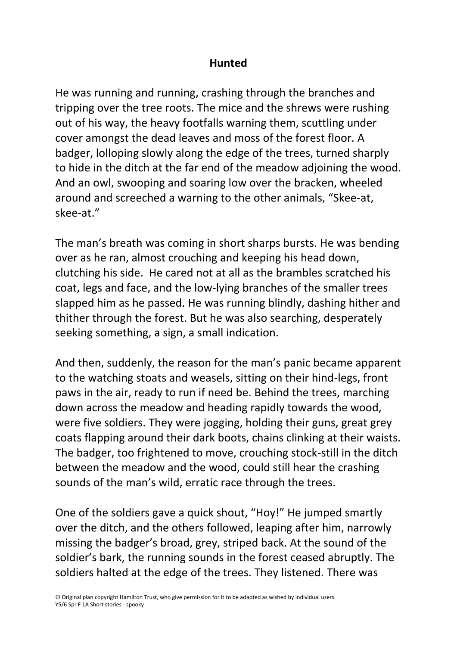## **Hunted**

He was running and running, crashing through the branches and tripping over the tree roots. The mice and the shrews were rushing out of his way, the heavy footfalls warning them, scuttling under cover amongst the dead leaves and moss of the forest floor. A badger, lolloping slowly along the edge of the trees, turned sharply to hide in the ditch at the far end of the meadow adjoining the wood. And an owl, swooping and soaring low over the bracken, wheeled around and screeched a warning to the other animals, "Skee-at, skee-at."

The man's breath was coming in short sharps bursts. He was bending over as he ran, almost crouching and keeping his head down, clutching his side. He cared not at all as the brambles scratched his coat, legs and face, and the low-lying branches of the smaller trees slapped him as he passed. He was running blindly, dashing hither and thither through the forest. But he was also searching, desperately seeking something, a sign, a small indication.

And then, suddenly, the reason for the man's panic became apparent to the watching stoats and weasels, sitting on their hind-legs, front paws in the air, ready to run if need be. Behind the trees, marching down across the meadow and heading rapidly towards the wood, were five soldiers. They were jogging, holding their guns, great grey coats flapping around their dark boots, chains clinking at their waists. The badger, too frightened to move, crouching stock-still in the ditch between the meadow and the wood, could still hear the crashing sounds of the man's wild, erratic race through the trees.

One of the soldiers gave a quick shout, "Hoy!" He jumped smartly over the ditch, and the others followed, leaping after him, narrowly missing the badger's broad, grey, striped back. At the sound of the soldier's bark, the running sounds in the forest ceased abruptly. The soldiers halted at the edge of the trees. They listened. There was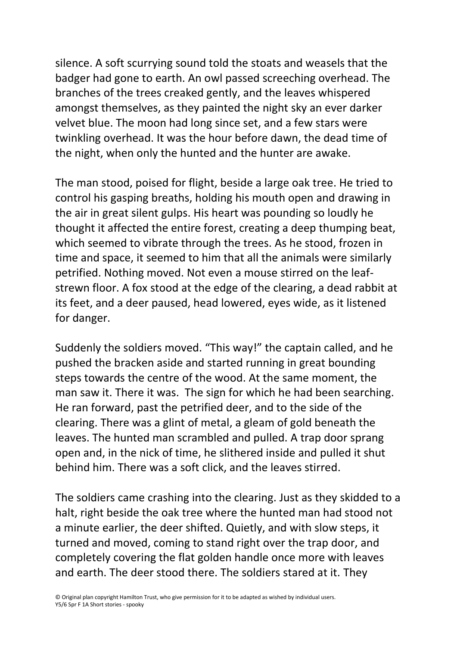silence. A soft scurrying sound told the stoats and weasels that the badger had gone to earth. An owl passed screeching overhead. The branches of the trees creaked gently, and the leaves whispered amongst themselves, as they painted the night sky an ever darker velvet blue. The moon had long since set, and a few stars were twinkling overhead. It was the hour before dawn, the dead time of the night, when only the hunted and the hunter are awake.

The man stood, poised for flight, beside a large oak tree. He tried to control his gasping breaths, holding his mouth open and drawing in the air in great silent gulps. His heart was pounding so loudly he thought it affected the entire forest, creating a deep thumping beat, which seemed to vibrate through the trees. As he stood, frozen in time and space, it seemed to him that all the animals were similarly petrified. Nothing moved. Not even a mouse stirred on the leafstrewn floor. A fox stood at the edge of the clearing, a dead rabbit at its feet, and a deer paused, head lowered, eyes wide, as it listened for danger.

Suddenly the soldiers moved. "This way!" the captain called, and he pushed the bracken aside and started running in great bounding steps towards the centre of the wood. At the same moment, the man saw it. There it was. The sign for which he had been searching. He ran forward, past the petrified deer, and to the side of the clearing. There was a glint of metal, a gleam of gold beneath the leaves. The hunted man scrambled and pulled. A trap door sprang open and, in the nick of time, he slithered inside and pulled it shut behind him. There was a soft click, and the leaves stirred.

The soldiers came crashing into the clearing. Just as they skidded to a halt, right beside the oak tree where the hunted man had stood not a minute earlier, the deer shifted. Quietly, and with slow steps, it turned and moved, coming to stand right over the trap door, and completely covering the flat golden handle once more with leaves and earth. The deer stood there. The soldiers stared at it. They